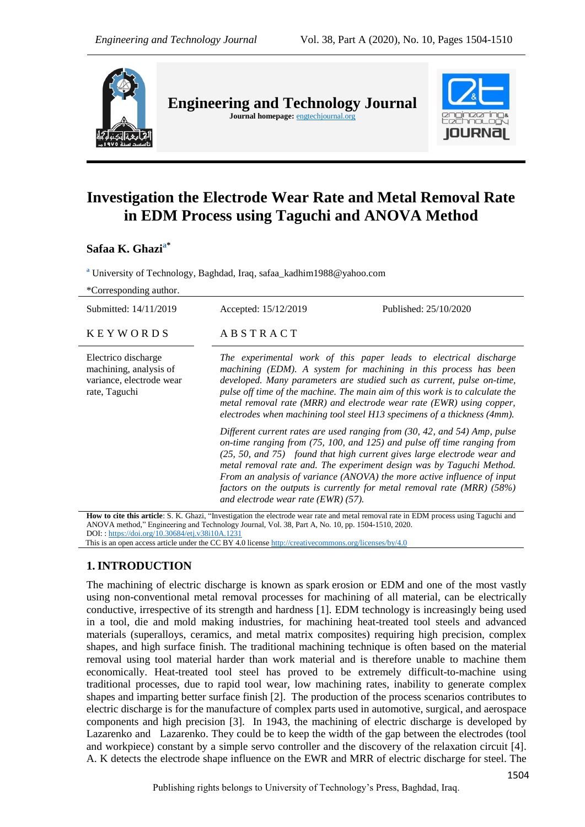

**Engineering and Technology Journal**  Journal homepage: **engtechjournal.org** 



# **Investigation the Electrode Wear Rate and Metal Removal Rate in EDM Process using Taguchi and ANOVA Method**

# **Safaa K. Ghazia\***

**<sup>a</sup>** University of Technology, Baghdad, Iraq, safaa\_kadhim1988@yahoo.com

| *Corresponding author.                                                                     |                                                                                                                                                                                                                                                                                                                                                                                                                                                                                                          |                       |
|--------------------------------------------------------------------------------------------|----------------------------------------------------------------------------------------------------------------------------------------------------------------------------------------------------------------------------------------------------------------------------------------------------------------------------------------------------------------------------------------------------------------------------------------------------------------------------------------------------------|-----------------------|
| Submitted: 14/11/2019                                                                      | Accepted: 15/12/2019                                                                                                                                                                                                                                                                                                                                                                                                                                                                                     | Published: 25/10/2020 |
| <b>KEYWORDS</b>                                                                            | ABSTRACT                                                                                                                                                                                                                                                                                                                                                                                                                                                                                                 |                       |
| Electrico discharge<br>machining, analysis of<br>variance, electrode wear<br>rate, Taguchi | The experimental work of this paper leads to electrical discharge<br>machining (EDM). A system for machining in this process has been<br>developed. Many parameters are studied such as current, pulse on-time,<br>pulse off time of the machine. The main aim of this work is to calculate the<br>metal removal rate (MRR) and electrode wear rate (EWR) using copper,<br>electrodes when machining tool steel H13 specimens of a thickness (4mm).                                                      |                       |
|                                                                                            | Different current rates are used ranging from (30, 42, and 54) Amp, pulse<br>on-time ranging from (75, 100, and 125) and pulse off time ranging from<br>(25, 50, and 75) found that high current gives large electrode wear and<br>metal removal rate and. The experiment design was by Taguchi Method.<br>From an analysis of variance (ANOVA) the more active influence of input<br>factors on the outputs is currently for metal removal rate (MRR) $(58\%)$<br>and electrode wear rate $(EWR)$ (57). |                       |
|                                                                                            | <b>How to cite this article:</b> S. K. Ghazi. "Investigation the electrode wear rate and metal removal rate in EDM process using Taguchi and                                                                                                                                                                                                                                                                                                                                                             |                       |

How to cite this article: S. K. Ghazi, "Investigation the electrode wear rate and metal removal rate in EDM process using Taguchi and ANOVA method," Engineering and Technology Journal, Vol. 38, Part A, No. 10, pp. 1504-1510, 2020. DOI: [: https://doi.org/10.30684/etj.v38i10A.1231](https://doi.org/10.30684/etj.v38i10A.1231)

This is an open access article under the CC BY 4.0 licens[e http://creativecommons.org/licenses/by/4.0](http://creativecommons.org/licenses/by/4.0)

# **1.INTRODUCTION**

The machining of electric discharge is known as spark erosion or EDM and one of the most vastly using non-conventional metal removal processes for machining of all material, can be electrically conductive, irrespective of its strength and hardness [1]. EDM technology is increasingly being used in a tool, die and mold making industries, for machining heat-treated tool steels and advanced materials (superalloys, ceramics, and metal matrix composites) requiring high precision, complex shapes, and high surface finish. The traditional machining technique is often based on the material removal using tool material harder than work material and is therefore unable to machine them economically. Heat-treated tool steel has proved to be extremely difficult-to-machine using traditional processes, due to rapid tool wear, low machining rates, inability to generate complex shapes and imparting better surface finish [2]. The production of the process scenarios contributes to electric discharge is for the manufacture of complex parts used in automotive, surgical, and aerospace components and high precision [3]. In 1943, the machining of electric discharge is developed by Lazarenko and Lazarenko. They could be to keep the width of the gap between the electrodes (tool and workpiece) constant by a simple servo controller and the discovery of the relaxation circuit [4]. A. K detects the electrode shape influence on the EWR and MRR of electric discharge for steel. The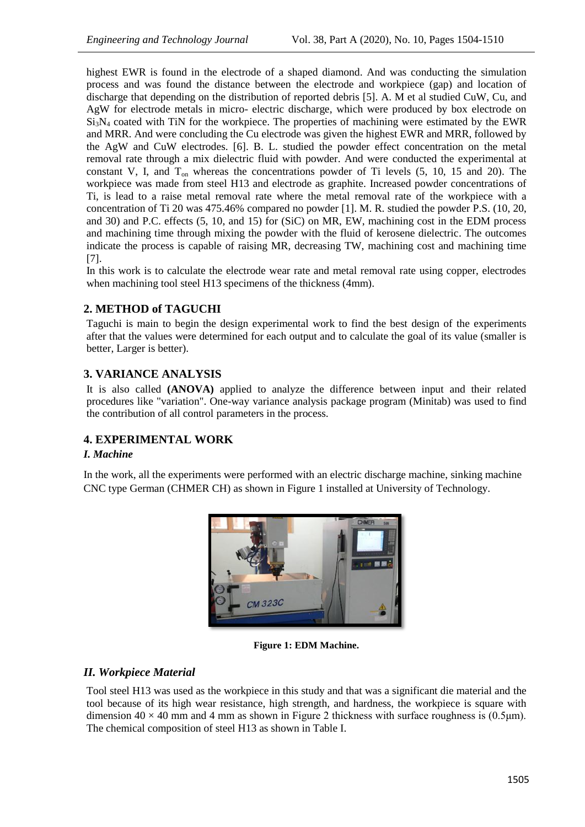highest EWR is found in the electrode of a shaped diamond. And was conducting the simulation process and was found the distance between the electrode and workpiece (gap) and location of discharge that depending on the distribution of reported debris [5]. A. M et al studied CuW, Cu, and AgW for electrode metals in micro- electric discharge, which were produced by box electrode on Si<sub>3</sub>N<sub>4</sub> coated with TiN for the workpiece. The properties of machining were estimated by the EWR and MRR. And were concluding the Cu electrode was given the highest EWR and MRR, followed by the AgW and CuW electrodes. [6]. B. L. studied the powder effect concentration on the metal removal rate through a mix dielectric fluid with powder. And were conducted the experimental at constant V, I, and  $T_{on}$  whereas the concentrations powder of Ti levels  $(5, 10, 15, 10)$ . The workpiece was made from steel H13 and electrode as graphite. Increased powder concentrations of Ti, is lead to a raise metal removal rate where the metal removal rate of the workpiece with a concentration of Ti 20 was 475.46% compared no powder [1]. M. R. studied the powder P.S. (10, 20, and 30) and P.C. effects (5, 10, and 15) for (SiC) on MR, EW, machining cost in the EDM process and machining time through mixing the powder with the fluid of kerosene dielectric. The outcomes indicate the process is capable of raising MR, decreasing TW, machining cost and machining time [7].

In this work is to calculate the electrode wear rate and metal removal rate using copper, electrodes when machining tool steel H13 specimens of the thickness (4mm).

# **2. METHOD of TAGUCHI**

Taguchi is main to begin the design experimental work to find the best design of the experiments after that the values were determined for each output and to calculate the goal of its value (smaller is better, Larger is better).

# **3. VARIANCE ANALYSIS**

It is also called **(ANOVA)** applied to analyze the difference between input and their related procedures like "variation". One-way variance analysis package program (Minitab) was used to find the contribution of all control parameters in the process.

# **4. EXPERIMENTAL WORK**

#### *I. Machine*

In the work, all the experiments were performed with an electric discharge machine, sinking machine CNC type German (CHMER CH) as shown in Figure 1 installed at University of Technology.



**Figure 1: EDM Machine.**

# *II. Workpiece Material*

Tool steel H13 was used as the workpiece in this study and that was a significant die material and the tool because of its high wear resistance, high strength, and hardness, the workpiece is square with dimension  $40 \times 40$  mm and 4 mm as shown in Figure 2 thickness with surface roughness is (0.5 km). The chemical composition of steel H13 as shown in Table I.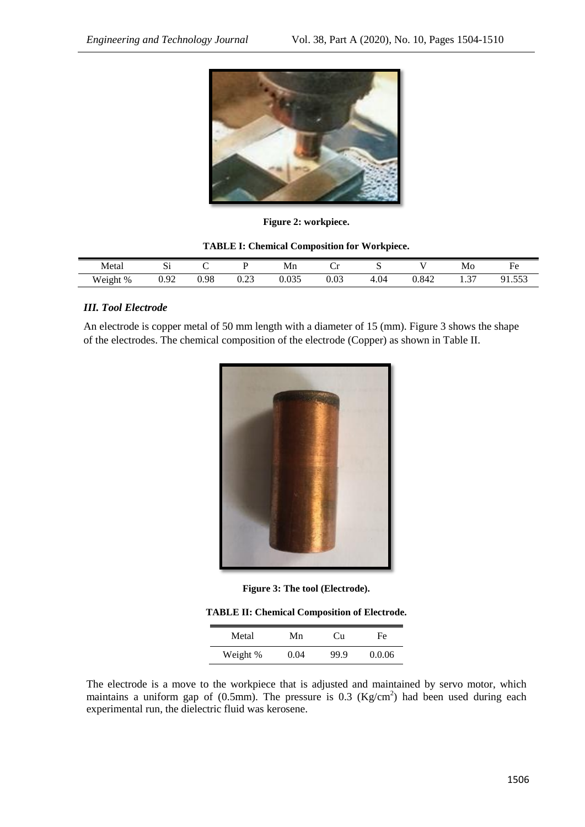

**Figure 2: workpiece.**

|          | <b>TABLE I: Chemical Composition for Workpiece.</b> |      |      |       |      |      |       |    |        |
|----------|-----------------------------------------------------|------|------|-------|------|------|-------|----|--------|
| Metal    |                                                     |      |      | Mn    |      |      |       | Mo | Fe     |
| Weight % | 0.92                                                | 0.98 | 0.23 | 0.035 | 0.03 | 4.04 | 0.842 |    | 91.553 |

# *III. Tool Electrode*

An electrode is copper metal of 50 mm length with a diameter of 15 (mm). Figure 3 shows the shape of the electrodes. The chemical composition of the electrode (Copper) as shown in Table II.



**Figure 3: The tool (Electrode).**

| Metal    | Mn   | Cп   | Fe.    |
|----------|------|------|--------|
| Weight % | 0.04 | 99.9 | 0.0.06 |

The electrode is a move to the workpiece that is adjusted and maintained by servo motor, which maintains a uniform gap of  $(0.5 \text{mm})$ . The pressure is 0.3  $(Kg/cm^2)$  had been used during each experimental run, the dielectric fluid was kerosene.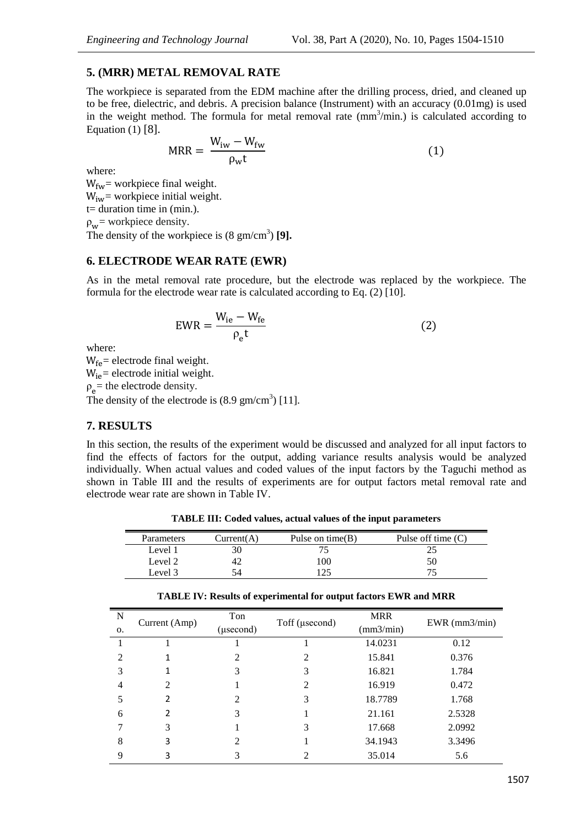#### **5. (MRR) METAL REMOVAL RATE**

The workpiece is separated from the EDM machine after the drilling process, dried, and cleaned up to be free, dielectric, and debris. A precision balance (Instrument) with an accuracy (0.01mg) is used in the weight method. The formula for metal removal rate  $(mm^3/min.)$  is calculated according to Equation (1) [8].

$$
MRR = \frac{W_{iw} - W_{fw}}{\rho_w t}
$$
 (1)

where:

 $W_{fw}$  = workpiece final weight.  $W_{iw}$  = workpiece initial weight. t= duration time in (min.).  $\rho_w$  = workpiece density. The density of the workpiece is  $(8 \text{ gm/cm}^3)$  [9].

#### **6. ELECTRODE WEAR RATE (EWR)**

As in the metal removal rate procedure, but the electrode was replaced by the workpiece. The formula for the electrode wear rate is calculated according to Eq. (2) [10].

$$
EWR = \frac{W_{ie} - W_{fe}}{\rho_e t}
$$
 (2)

where:

 $W_{fe}$  = electrode final weight.  $W_{ie}$  = electrode initial weight.  $p_e$  = the electrode density. The density of the electrode is  $(8.9 \text{ gm/cm}^3)$  [11].

# **7. RESULTS**

 $\overline{N}$ 

In this section, the results of the experiment would be discussed and analyzed for all input factors to find the effects of factors for the output, adding variance results analysis would be analyzed individually. When actual values and coded values of the input factors by the Taguchi method as shown in Table III and the results of experiments are for output factors metal removal rate and electrode wear rate are shown in Table IV.

**TABLE III: Coded values, actual values of the input parameters**

| Parameters | Current(A) | Pulse on time $(B)$ | Pulse off time $(C)$ |
|------------|------------|---------------------|----------------------|
| Level 1    |            |                     |                      |
| Level 2    |            | 00                  | 50                   |
| Level 3    |            |                     |                      |

|               |     | <b>TABLE IV: Results of experimental for output factors EWR and MRR</b> |     |                           |
|---------------|-----|-------------------------------------------------------------------------|-----|---------------------------|
| Current (Amp) | Ton | Toff (usecond)                                                          | MRR | EWR $\frac{\text{m3}}{2}$ |

| $\mathbf N$   | Current (Amp)            | Ton            | Toff (usecond) | <b>MRR</b> | $EWR$ (mm $3/min$ ) |  |
|---------------|--------------------------|----------------|----------------|------------|---------------------|--|
| 0.            |                          | (µsecond)      |                | (mm3/min)  |                     |  |
|               |                          |                |                | 14.0231    | 0.12                |  |
| $\mathcal{D}$ |                          | $\mathfrak{D}$ | 2              | 15.841     | 0.376               |  |
| 3             | 1                        | 3              | 3              | 16.821     | 1.784               |  |
| 4             | 2                        |                | 2              | 16.919     | 0.472               |  |
| 5             | 2                        | $\mathfrak{D}$ | 3              | 18.7789    | 1.768               |  |
| 6             | $\overline{\phantom{a}}$ | 3              |                | 21.161     | 2.5328              |  |
|               | 3                        |                | 3              | 17.668     | 2.0992              |  |
| 8             | 3                        | $\mathfrak{D}$ |                | 34.1943    | 3.3496              |  |
| 9             | 3                        | 3              | 2              | 35.014     | 5.6                 |  |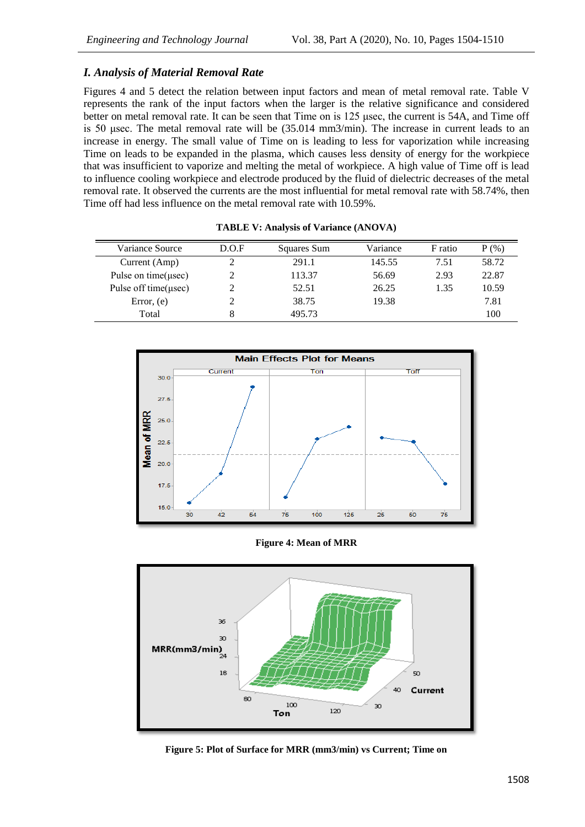# *I. Analysis of Material Removal Rate*

Figures 4 and 5 detect the relation between input factors and mean of metal removal rate. Table V represents the rank of the input factors when the larger is the relative significance and considered better on metal removal rate. It can be seen that Time on is 125 usec, the current is 54A, and Time off is 50 μsec. The metal removal rate will be (35.014 mm3/min). The increase in current leads to an increase in energy. The small value of Time on is leading to less for vaporization while increasing Time on leads to be expanded in the plasma, which causes less density of energy for the workpiece that was insufficient to vaporize and melting the metal of workpiece. A high value of Time off is lead to influence cooling workpiece and electrode produced by the fluid of dielectric decreases of the metal removal rate. It observed the currents are the most influential for metal removal rate with 58.74%, then Time off had less influence on the metal removal rate with 10.59%.

| Variance Source            | D.O.F | Squares Sum | Variance | F ratio | $P(\% )$ |
|----------------------------|-------|-------------|----------|---------|----------|
| Current (Amp)              |       | 291.1       | 145.55   | 7.51    | 58.72    |
| Pulse on time( $\mu$ sec)  |       | 113.37      | 56.69    | 2.93    | 22.87    |
| Pulse off time( $\mu$ sec) |       | 52.51       | 26.25    | 1.35    | 10.59    |
| Error, $(e)$               |       | 38.75       | 19.38    |         | 7.81     |
| Total                      |       | 495.73      |          |         | 100      |

|  | <b>TABLE V: Analysis of Variance (ANOVA)</b> |  |
|--|----------------------------------------------|--|
|  |                                              |  |



**Figure 4: Mean of MRR**



**Figure 5: Plot of Surface for MRR (mm3/min) vs Current; Time on**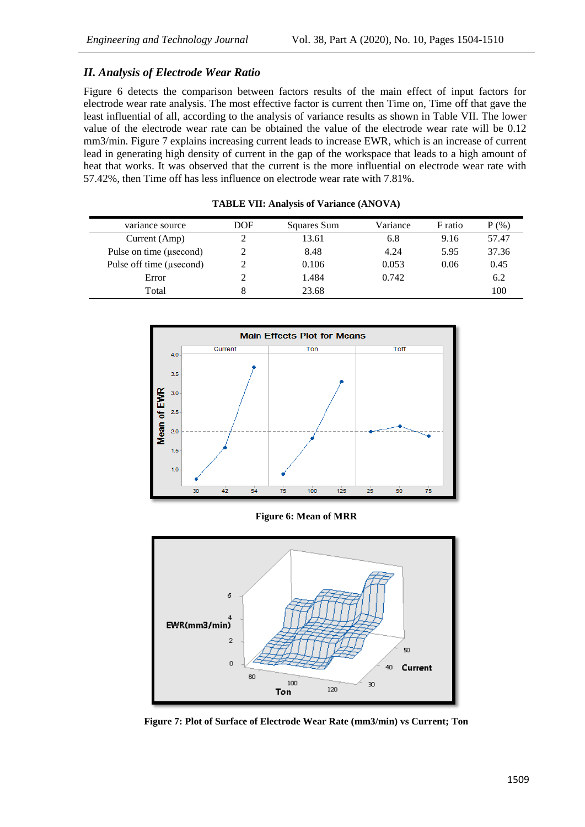# *II. Analysis of Electrode Wear Ratio*

Figure 6 detects the comparison between factors results of the main effect of input factors for electrode wear rate analysis. The most effective factor is current then Time on, Time off that gave the least influential of all, according to the analysis of variance results as shown in Table VII. The lower value of the electrode wear rate can be obtained the value of the electrode wear rate will be 0.12 mm3/min. Figure 7 explains increasing current leads to increase EWR, which is an increase of current lead in generating high density of current in the gap of the workspace that leads to a high amount of heat that works. It was observed that the current is the more influential on electrode wear rate with 57.42%, then Time off has less influence on electrode wear rate with 7.81%.

| variance source          | DOF | Squares Sum | Variance | F ratio | $P(\%)$ |
|--------------------------|-----|-------------|----------|---------|---------|
| Current (Amp)            |     | 13.61       | 6.8      | 9.16    | 57.47   |
| Pulse on time (usecond)  |     | 8.48        | 4.24     | 5.95    | 37.36   |
| Pulse off time (usecond) |     | 0.106       | 0.053    | 0.06    | 0.45    |
| Error                    |     | 1.484       | 0.742    |         | 6.2     |
| Total                    | 8   | 23.68       |          |         | 100     |

**TABLE VII: Analysis of Variance (ANOVA)**



**Figure 6: Mean of MRR**



**Figure 7: Plot of Surface of Electrode Wear Rate (mm3/min) vs Current; Ton**